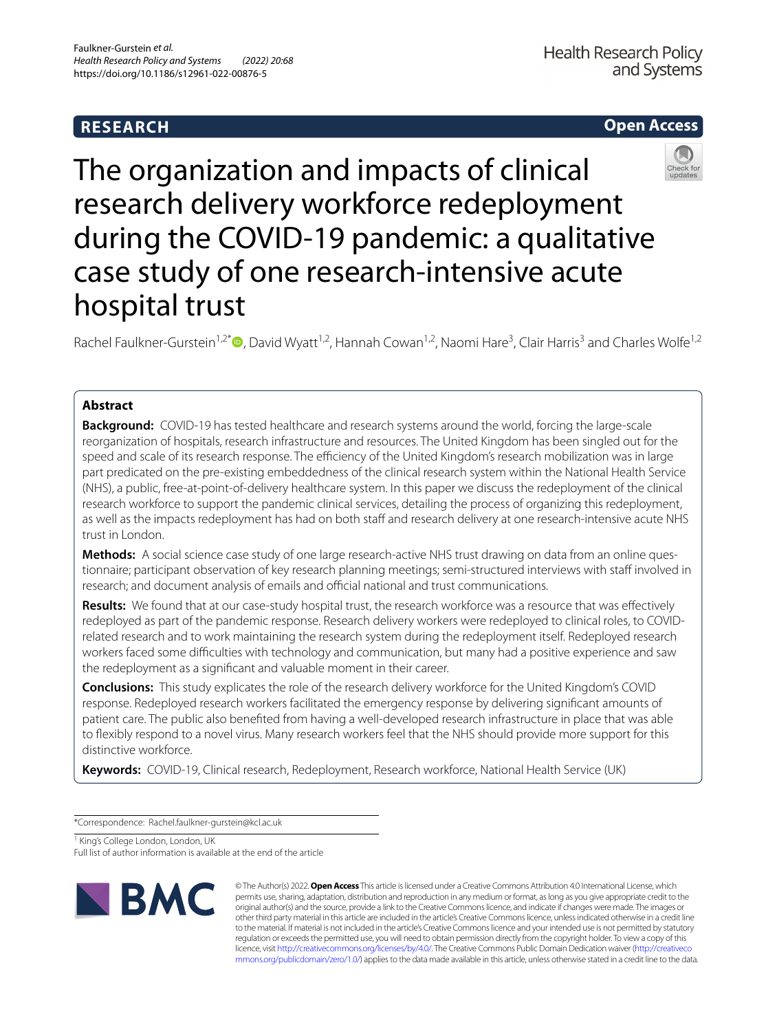# **RESEARCH**



# The organization and impacts of clinical research delivery workforce redeployment during the COVID‑19 pandemic: a qualitative case study of one research-intensive acute hospital trust

Rachel Faulkner-Gurstein<sup>1[,](http://orcid.org/0000-0002-1103-9934)2\*</sup>®, David Wyatt<sup>1,2</sup>, Hannah Cowan<sup>1,2</sup>, Naomi Hare<sup>3</sup>, Clair Harris<sup>3</sup> and Charles Wolfe<sup>1,2</sup>

# **Abstract**

**Background:** COVID-19 has tested healthcare and research systems around the world, forcing the large-scale reorganization of hospitals, research infrastructure and resources. The United Kingdom has been singled out for the speed and scale of its research response. The efficiency of the United Kingdom's research mobilization was in large part predicated on the pre-existing embeddedness of the clinical research system within the National Health Service (NHS), a public, free-at-point-of-delivery healthcare system. In this paper we discuss the redeployment of the clinical research workforce to support the pandemic clinical services, detailing the process of organizing this redeployment, as well as the impacts redeployment has had on both staff and research delivery at one research-intensive acute NHS trust in London.

Methods: A social science case study of one large research-active NHS trust drawing on data from an online questionnaire; participant observation of key research planning meetings; semi-structured interviews with staff involved in research; and document analysis of emails and official national and trust communications.

**Results:** We found that at our case-study hospital trust, the research workforce was a resource that was efectively redeployed as part of the pandemic response. Research delivery workers were redeployed to clinical roles, to COVIDrelated research and to work maintaining the research system during the redeployment itself. Redeployed research workers faced some difficulties with technology and communication, but many had a positive experience and saw the redeployment as a signifcant and valuable moment in their career.

**Conclusions:** This study explicates the role of the research delivery workforce for the United Kingdom's COVID response. Redeployed research workers facilitated the emergency response by delivering signifcant amounts of patient care. The public also benefted from having a well-developed research infrastructure in place that was able to fexibly respond to a novel virus. Many research workers feel that the NHS should provide more support for this distinctive workforce.

**Keywords:** COVID-19, Clinical research, Redeployment, Research workforce, National Health Service (UK)

\*Correspondence: Rachel.faulkner-gurstein@kcl.ac.uk

<sup>1</sup> King's College London, London, UK

Full list of author information is available at the end of the article



© The Author(s) 2022. **Open Access** This article is licensed under a Creative Commons Attribution 4.0 International License, which permits use, sharing, adaptation, distribution and reproduction in any medium or format, as long as you give appropriate credit to the original author(s) and the source, provide a link to the Creative Commons licence, and indicate if changes were made. The images or other third party material in this article are included in the article's Creative Commons licence, unless indicated otherwise in a credit line to the material. If material is not included in the article's Creative Commons licence and your intended use is not permitted by statutory regulation or exceeds the permitted use, you will need to obtain permission directly from the copyright holder. To view a copy of this licence, visit [http://creativecommons.org/licenses/by/4.0/.](http://creativecommons.org/licenses/by/4.0/) The Creative Commons Public Domain Dedication waiver ([http://creativeco](http://creativecommons.org/publicdomain/zero/1.0/) [mmons.org/publicdomain/zero/1.0/](http://creativecommons.org/publicdomain/zero/1.0/)) applies to the data made available in this article, unless otherwise stated in a credit line to the data.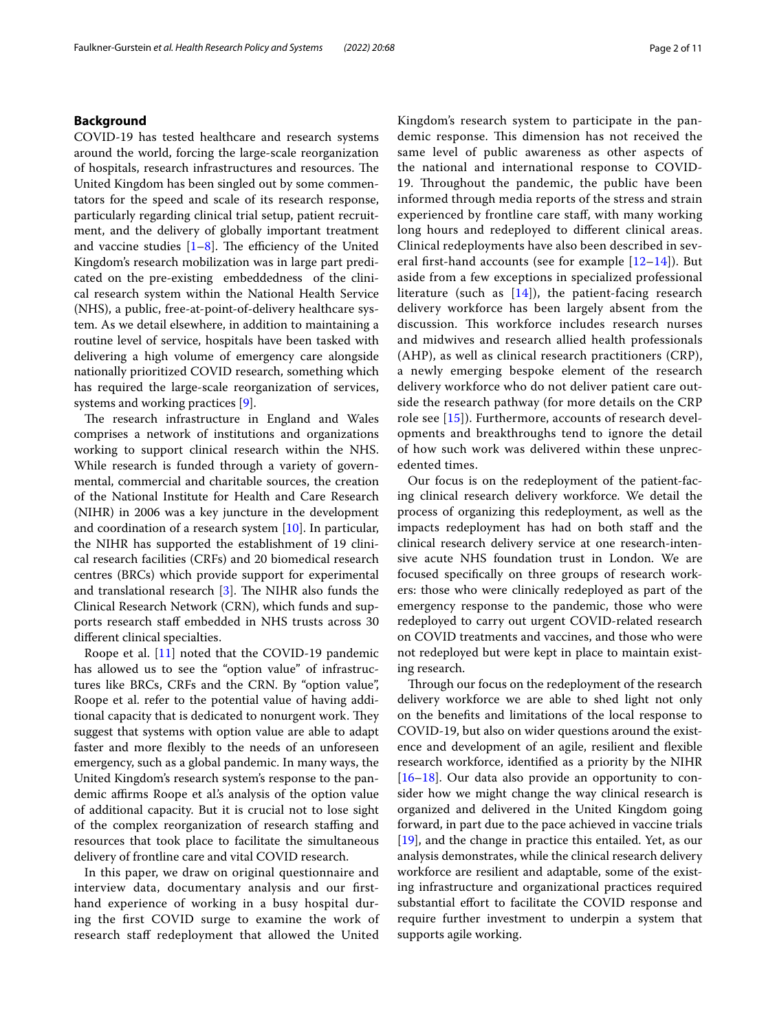# **Background**

COVID-19 has tested healthcare and research systems around the world, forcing the large-scale reorganization of hospitals, research infrastructures and resources. The United Kingdom has been singled out by some commentators for the speed and scale of its research response, particularly regarding clinical trial setup, patient recruitment, and the delivery of globally important treatment and vaccine studies  $[1-8]$  $[1-8]$ . The efficiency of the United Kingdom's research mobilization was in large part predicated on the pre-existing embeddedness of the clinical research system within the National Health Service (NHS), a public, free-at-point-of-delivery healthcare system. As we detail elsewhere, in addition to maintaining a routine level of service, hospitals have been tasked with delivering a high volume of emergency care alongside nationally prioritized COVID research, something which has required the large-scale reorganization of services, systems and working practices [\[9](#page-10-2)].

The research infrastructure in England and Wales comprises a network of institutions and organizations working to support clinical research within the NHS. While research is funded through a variety of governmental, commercial and charitable sources, the creation of the National Institute for Health and Care Research (NIHR) in 2006 was a key juncture in the development and coordination of a research system [\[10](#page-10-3)]. In particular, the NIHR has supported the establishment of 19 clinical research facilities (CRFs) and 20 biomedical research centres (BRCs) which provide support for experimental and translational research  $[3]$ . The NIHR also funds the Clinical Research Network (CRN), which funds and supports research staff embedded in NHS trusts across 30 diferent clinical specialties.

Roope et al. [[11](#page-10-5)] noted that the COVID-19 pandemic has allowed us to see the "option value" of infrastructures like BRCs, CRFs and the CRN. By "option value", Roope et al. refer to the potential value of having additional capacity that is dedicated to nonurgent work. They suggest that systems with option value are able to adapt faster and more fexibly to the needs of an unforeseen emergency, such as a global pandemic. In many ways, the United Kingdom's research system's response to the pandemic affirms Roope et al's analysis of the option value of additional capacity. But it is crucial not to lose sight of the complex reorganization of research stafng and resources that took place to facilitate the simultaneous delivery of frontline care and vital COVID research.

In this paper, we draw on original questionnaire and interview data, documentary analysis and our frsthand experience of working in a busy hospital during the frst COVID surge to examine the work of research staff redeployment that allowed the United Kingdom's research system to participate in the pandemic response. This dimension has not received the same level of public awareness as other aspects of the national and international response to COVID-19. Throughout the pandemic, the public have been informed through media reports of the stress and strain experienced by frontline care staf, with many working long hours and redeployed to diferent clinical areas. Clinical redeployments have also been described in several first-hand accounts (see for example  $[12-14]$  $[12-14]$  $[12-14]$ ). But aside from a few exceptions in specialized professional literature (such as  $[14]$  $[14]$ ), the patient-facing research delivery workforce has been largely absent from the discussion. This workforce includes research nurses and midwives and research allied health professionals (AHP), as well as clinical research practitioners (CRP), a newly emerging bespoke element of the research delivery workforce who do not deliver patient care outside the research pathway (for more details on the CRP role see [[15](#page-10-8)]). Furthermore, accounts of research developments and breakthroughs tend to ignore the detail of how such work was delivered within these unprecedented times.

Our focus is on the redeployment of the patient-facing clinical research delivery workforce. We detail the process of organizing this redeployment, as well as the impacts redeployment has had on both staff and the clinical research delivery service at one research-intensive acute NHS foundation trust in London. We are focused specifcally on three groups of research workers: those who were clinically redeployed as part of the emergency response to the pandemic, those who were redeployed to carry out urgent COVID-related research on COVID treatments and vaccines, and those who were not redeployed but were kept in place to maintain existing research.

Through our focus on the redeployment of the research delivery workforce we are able to shed light not only on the benefts and limitations of the local response to COVID-19, but also on wider questions around the existence and development of an agile, resilient and fexible research workforce, identifed as a priority by the NIHR [[16–](#page-10-9)[18\]](#page-10-10). Our data also provide an opportunity to consider how we might change the way clinical research is organized and delivered in the United Kingdom going forward, in part due to the pace achieved in vaccine trials [[19\]](#page-10-11), and the change in practice this entailed. Yet, as our analysis demonstrates, while the clinical research delivery workforce are resilient and adaptable, some of the existing infrastructure and organizational practices required substantial effort to facilitate the COVID response and require further investment to underpin a system that supports agile working.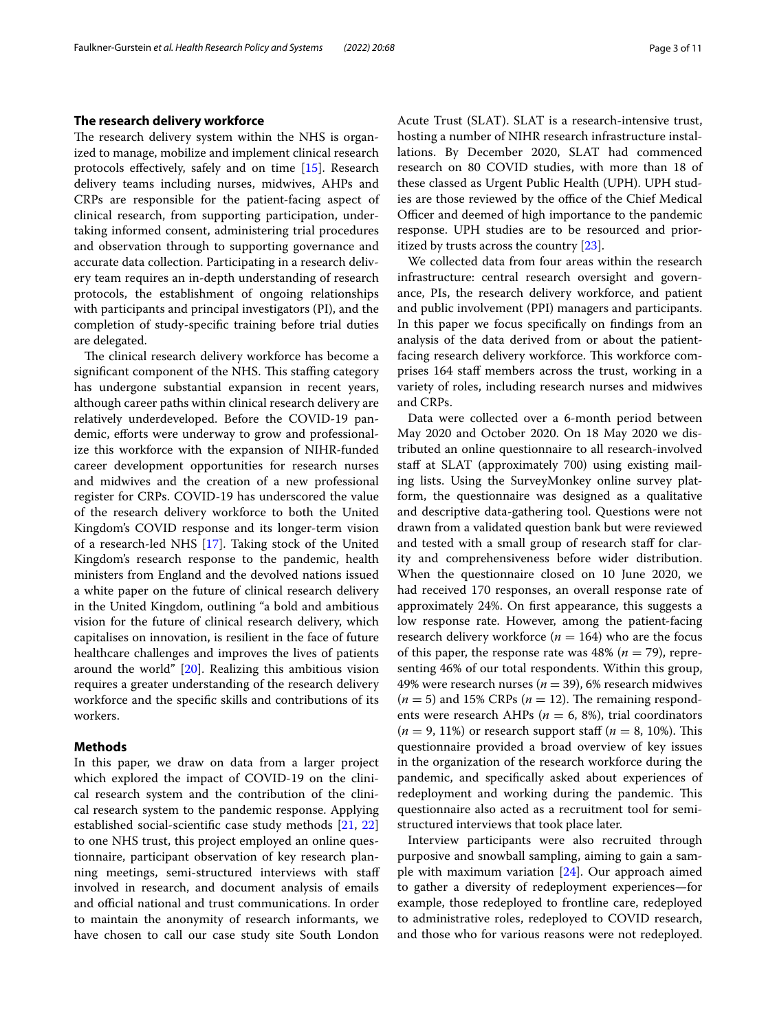# **The research delivery workforce**

The research delivery system within the NHS is organized to manage, mobilize and implement clinical research protocols efectively, safely and on time [\[15\]](#page-10-8). Research delivery teams including nurses, midwives, AHPs and CRPs are responsible for the patient-facing aspect of clinical research, from supporting participation, undertaking informed consent, administering trial procedures and observation through to supporting governance and accurate data collection. Participating in a research delivery team requires an in-depth understanding of research protocols, the establishment of ongoing relationships with participants and principal investigators (PI), and the completion of study-specifc training before trial duties are delegated.

The clinical research delivery workforce has become a significant component of the NHS. This staffing category has undergone substantial expansion in recent years, although career paths within clinical research delivery are relatively underdeveloped. Before the COVID-19 pandemic, efforts were underway to grow and professionalize this workforce with the expansion of NIHR-funded career development opportunities for research nurses and midwives and the creation of a new professional register for CRPs. COVID-19 has underscored the value of the research delivery workforce to both the United Kingdom's COVID response and its longer-term vision of a research-led NHS [\[17\]](#page-10-12). Taking stock of the United Kingdom's research response to the pandemic, health ministers from England and the devolved nations issued a white paper on the future of clinical research delivery in the United Kingdom, outlining "a bold and ambitious vision for the future of clinical research delivery, which capitalises on innovation, is resilient in the face of future healthcare challenges and improves the lives of patients around the world" [[20](#page-10-13)]. Realizing this ambitious vision requires a greater understanding of the research delivery workforce and the specifc skills and contributions of its workers.

# **Methods**

In this paper, we draw on data from a larger project which explored the impact of COVID-19 on the clinical research system and the contribution of the clinical research system to the pandemic response. Applying established social-scientifc case study methods [[21,](#page-10-14) [22](#page-10-15)] to one NHS trust, this project employed an online questionnaire, participant observation of key research planning meetings, semi-structured interviews with staf involved in research, and document analysis of emails and official national and trust communications. In order to maintain the anonymity of research informants, we have chosen to call our case study site South London Acute Trust (SLAT). SLAT is a research-intensive trust, hosting a number of NIHR research infrastructure installations. By December 2020, SLAT had commenced research on 80 COVID studies, with more than 18 of these classed as Urgent Public Health (UPH). UPH studies are those reviewed by the office of the Chief Medical Officer and deemed of high importance to the pandemic response. UPH studies are to be resourced and prioritized by trusts across the country [\[23](#page-10-16)].

We collected data from four areas within the research infrastructure: central research oversight and governance, PIs, the research delivery workforce, and patient and public involvement (PPI) managers and participants. In this paper we focus specifcally on fndings from an analysis of the data derived from or about the patientfacing research delivery workforce. This workforce comprises 164 staf members across the trust, working in a variety of roles, including research nurses and midwives and CRPs.

Data were collected over a 6-month period between May 2020 and October 2020. On 18 May 2020 we distributed an online questionnaire to all research-involved staff at SLAT (approximately 700) using existing mailing lists. Using the SurveyMonkey online survey platform, the questionnaire was designed as a qualitative and descriptive data-gathering tool. Questions were not drawn from a validated question bank but were reviewed and tested with a small group of research staff for clarity and comprehensiveness before wider distribution. When the questionnaire closed on 10 June 2020, we had received 170 responses, an overall response rate of approximately 24%. On frst appearance, this suggests a low response rate. However, among the patient-facing research delivery workforce ( $n = 164$ ) who are the focus of this paper, the response rate was  $48\%$  ( $n = 79$ ), representing 46% of our total respondents. Within this group, 49% were research nurses (*n* = 39), 6% research midwives  $(n = 5)$  and 15% CRPs  $(n = 12)$ . The remaining respondents were research AHPs ( $n = 6$ , 8%), trial coordinators  $(n = 9, 11\%)$  or research support staff  $(n = 8, 10\%).$  This questionnaire provided a broad overview of key issues in the organization of the research workforce during the pandemic, and specifcally asked about experiences of redeployment and working during the pandemic. This questionnaire also acted as a recruitment tool for semistructured interviews that took place later.

Interview participants were also recruited through purposive and snowball sampling, aiming to gain a sample with maximum variation [[24\]](#page-10-17). Our approach aimed to gather a diversity of redeployment experiences—for example, those redeployed to frontline care, redeployed to administrative roles, redeployed to COVID research, and those who for various reasons were not redeployed.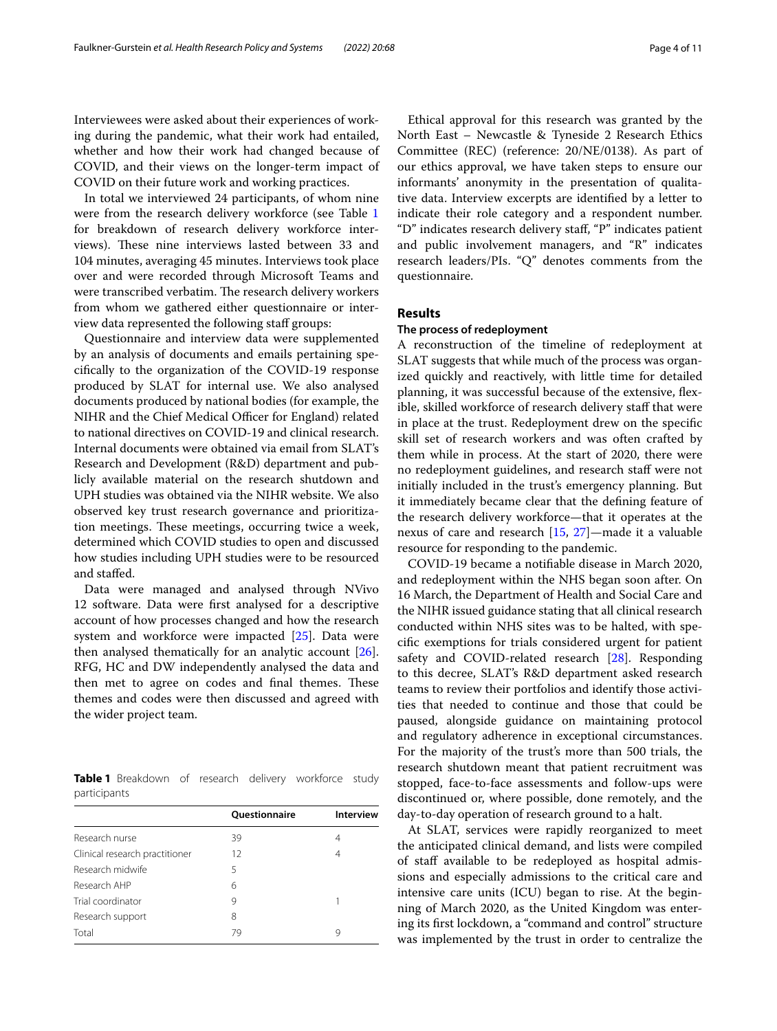Interviewees were asked about their experiences of working during the pandemic, what their work had entailed, whether and how their work had changed because of COVID, and their views on the longer-term impact of COVID on their future work and working practices.

In total we interviewed 24 participants, of whom nine were from the research delivery workforce (see Table [1](#page-3-0) for breakdown of research delivery workforce interviews). These nine interviews lasted between 33 and 104 minutes, averaging 45 minutes. Interviews took place over and were recorded through Microsoft Teams and were transcribed verbatim. The research delivery workers from whom we gathered either questionnaire or interview data represented the following staff groups:

Questionnaire and interview data were supplemented by an analysis of documents and emails pertaining specifcally to the organization of the COVID-19 response produced by SLAT for internal use. We also analysed documents produced by national bodies (for example, the NIHR and the Chief Medical Officer for England) related to national directives on COVID-19 and clinical research. Internal documents were obtained via email from SLAT's Research and Development (R&D) department and publicly available material on the research shutdown and UPH studies was obtained via the NIHR website. We also observed key trust research governance and prioritization meetings. These meetings, occurring twice a week, determined which COVID studies to open and discussed how studies including UPH studies were to be resourced and stafed.

Data were managed and analysed through NVivo 12 software. Data were frst analysed for a descriptive account of how processes changed and how the research system and workforce were impacted [[25](#page-10-18)]. Data were then analysed thematically for an analytic account [\[26](#page-10-19)]. RFG, HC and DW independently analysed the data and then met to agree on codes and final themes. These themes and codes were then discussed and agreed with the wider project team.

<span id="page-3-0"></span>**Table 1** Breakdown of research delivery workforce study participants

|                                | <b>Ouestionnaire</b> | <b>Interview</b> |
|--------------------------------|----------------------|------------------|
| Research nurse                 | 39                   | 4                |
| Clinical research practitioner | 12                   | 4                |
| Research midwife               | 5                    |                  |
| Research AHP                   | 6                    |                  |
| Trial coordinator              | 9                    |                  |
| Research support               | 8                    |                  |
| Total                          | 79                   | 9                |

Ethical approval for this research was granted by the North East – Newcastle & Tyneside 2 Research Ethics Committee (REC) (reference: 20/NE/0138). As part of our ethics approval, we have taken steps to ensure our informants' anonymity in the presentation of qualitative data. Interview excerpts are identifed by a letter to indicate their role category and a respondent number. "D" indicates research delivery staf, "P" indicates patient and public involvement managers, and "R" indicates research leaders/PIs. "Q" denotes comments from the questionnaire.

# **Results**

# **The process of redeployment**

A reconstruction of the timeline of redeployment at SLAT suggests that while much of the process was organized quickly and reactively, with little time for detailed planning, it was successful because of the extensive, fexible, skilled workforce of research delivery staf that were in place at the trust. Redeployment drew on the specifc skill set of research workers and was often crafted by them while in process. At the start of 2020, there were no redeployment guidelines, and research staff were not initially included in the trust's emergency planning. But it immediately became clear that the defning feature of the research delivery workforce—that it operates at the nexus of care and research [\[15,](#page-10-8) [27](#page-10-20)]—made it a valuable resource for responding to the pandemic.

COVID-19 became a notifable disease in March 2020, and redeployment within the NHS began soon after. On 16 March, the Department of Health and Social Care and the NIHR issued guidance stating that all clinical research conducted within NHS sites was to be halted, with specifc exemptions for trials considered urgent for patient safety and COVID-related research [[28\]](#page-10-21). Responding to this decree, SLAT's R&D department asked research teams to review their portfolios and identify those activities that needed to continue and those that could be paused, alongside guidance on maintaining protocol and regulatory adherence in exceptional circumstances. For the majority of the trust's more than 500 trials, the research shutdown meant that patient recruitment was stopped, face-to-face assessments and follow-ups were discontinued or, where possible, done remotely, and the day-to-day operation of research ground to a halt.

At SLAT, services were rapidly reorganized to meet the anticipated clinical demand, and lists were compiled of staff available to be redeployed as hospital admissions and especially admissions to the critical care and intensive care units (ICU) began to rise. At the beginning of March 2020, as the United Kingdom was entering its frst lockdown, a "command and control" structure was implemented by the trust in order to centralize the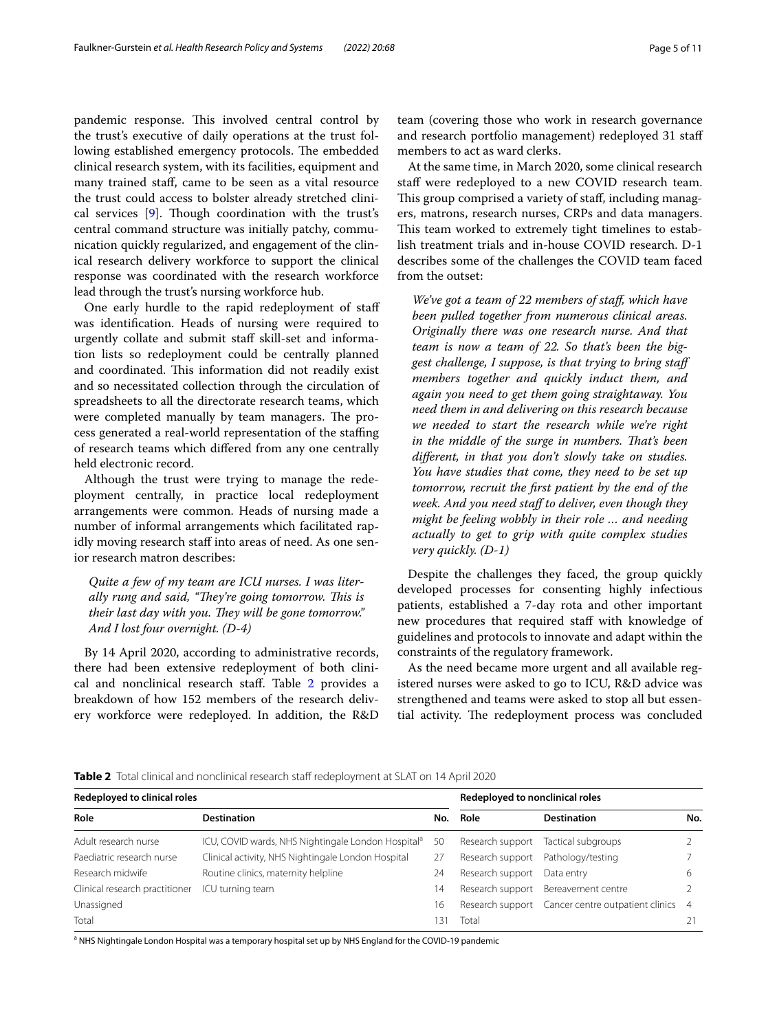pandemic response. This involved central control by the trust's executive of daily operations at the trust following established emergency protocols. The embedded clinical research system, with its facilities, equipment and many trained staf, came to be seen as a vital resource the trust could access to bolster already stretched clini-cal services [\[9](#page-10-2)]. Though coordination with the trust's central command structure was initially patchy, communication quickly regularized, and engagement of the clinical research delivery workforce to support the clinical response was coordinated with the research workforce lead through the trust's nursing workforce hub.

One early hurdle to the rapid redeployment of staf was identifcation. Heads of nursing were required to urgently collate and submit staf skill-set and information lists so redeployment could be centrally planned and coordinated. This information did not readily exist and so necessitated collection through the circulation of spreadsheets to all the directorate research teams, which were completed manually by team managers. The process generated a real-world representation of the staffing of research teams which difered from any one centrally held electronic record.

Although the trust were trying to manage the redeployment centrally, in practice local redeployment arrangements were common. Heads of nursing made a number of informal arrangements which facilitated rapidly moving research staff into areas of need. As one senior research matron describes:

*Quite a few of my team are ICU nurses. I was liter*ally rung and said, "They're going tomorrow. This is their last day with you. They will be gone tomorrow." *And I lost four overnight. (D-4)*

By 14 April 2020, according to administrative records, there had been extensive redeployment of both clinical and nonclinical research staf. Table [2](#page-4-0) provides a breakdown of how 152 members of the research delivery workforce were redeployed. In addition, the R&D team (covering those who work in research governance and research portfolio management) redeployed 31 staf members to act as ward clerks.

At the same time, in March 2020, some clinical research staff were redeployed to a new COVID research team. This group comprised a variety of staff, including managers, matrons, research nurses, CRPs and data managers. This team worked to extremely tight timelines to establish treatment trials and in-house COVID research. D-1 describes some of the challenges the COVID team faced from the outset:

*We've got a team of 22 members of staf, which have been pulled together from numerous clinical areas. Originally there was one research nurse. And that team is now a team of 22. So that's been the biggest challenge, I suppose, is that trying to bring staf members together and quickly induct them, and again you need to get them going straightaway. You need them in and delivering on this research because we needed to start the research while we're right*  in the middle of the surge in numbers. That's been *diferent, in that you don't slowly take on studies. You have studies that come, they need to be set up tomorrow, recruit the frst patient by the end of the week. And you need staf to deliver, even though they might be feeling wobbly in their role … and needing actually to get to grip with quite complex studies very quickly. (D-1)*

Despite the challenges they faced, the group quickly developed processes for consenting highly infectious patients, established a 7-day rota and other important new procedures that required staff with knowledge of guidelines and protocols to innovate and adapt within the constraints of the regulatory framework.

As the need became more urgent and all available registered nurses were asked to go to ICU, R&D advice was strengthened and teams were asked to stop all but essential activity. The redeployment process was concluded

<span id="page-4-0"></span>**Table 2** Total clinical and nonclinical research staff redeployment at SLAT on 14 April 2020

| <b>Redeployed to clinical roles</b> |                                                                | Redeployed to nonclinical roles |                  |                                                   |                |
|-------------------------------------|----------------------------------------------------------------|---------------------------------|------------------|---------------------------------------------------|----------------|
| Role                                | <b>Destination</b>                                             |                                 | No. Role         | <b>Destination</b>                                | No.            |
| Adult research nurse                | ICU, COVID wards, NHS Nightingale London Hospital <sup>a</sup> | 50                              |                  | Research support Tactical subgroups               |                |
| Paediatric research nurse           | Clinical activity, NHS Nightingale London Hospital             | 27                              | Research support | Pathology/testing                                 |                |
| Research midwife                    | Routine clinics, maternity helpline                            | 24                              | Research support | Data entry                                        |                |
| Clinical research practitioner      | ICU turning team                                               | 14                              |                  | Research support Bereavement centre               |                |
| Unassigned                          |                                                                | 16                              |                  | Research support Cancer centre outpatient clinics | $\overline{4}$ |
| Total                               |                                                                | 131                             | Total            |                                                   | 21             |

<sup>a</sup> NHS Nightingale London Hospital was a temporary hospital set up by NHS England for the COVID-19 pandemic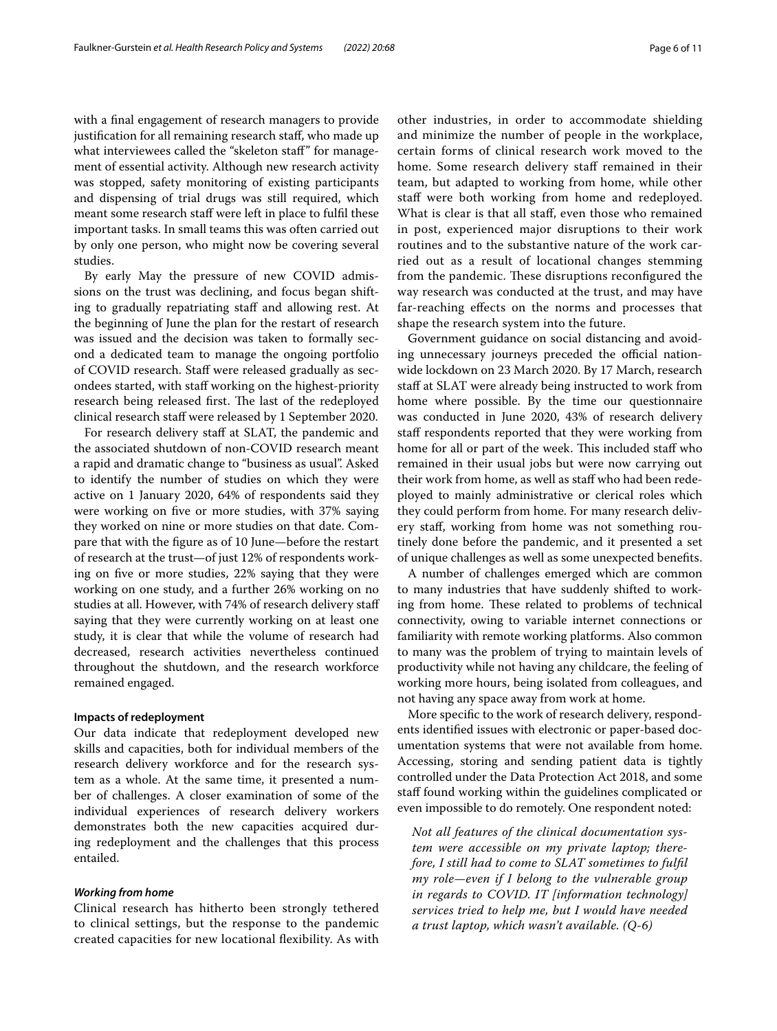with a final engagement of research managers to provide justifcation for all remaining research staf, who made up what interviewees called the "skeleton staf" for management of essential activity. Although new research activity was stopped, safety monitoring of existing participants and dispensing of trial drugs was still required, which meant some research staff were left in place to fulfil these important tasks. In small teams this was often carried out by only one person, who might now be covering several studies.

By early May the pressure of new COVID admissions on the trust was declining, and focus began shifting to gradually repatriating staff and allowing rest. At the beginning of June the plan for the restart of research was issued and the decision was taken to formally second a dedicated team to manage the ongoing portfolio of COVID research. Staf were released gradually as secondees started, with staf working on the highest-priority research being released first. The last of the redeployed clinical research staf were released by 1 September 2020.

For research delivery staff at SLAT, the pandemic and the associated shutdown of non-COVID research meant a rapid and dramatic change to "business as usual". Asked to identify the number of studies on which they were active on 1 January 2020, 64% of respondents said they were working on fve or more studies, with 37% saying they worked on nine or more studies on that date. Compare that with the fgure as of 10 June—before the restart of research at the trust—of just 12% of respondents working on fve or more studies, 22% saying that they were working on one study, and a further 26% working on no studies at all. However, with 74% of research delivery staf saying that they were currently working on at least one study, it is clear that while the volume of research had decreased, research activities nevertheless continued throughout the shutdown, and the research workforce remained engaged.

# **Impacts of redeployment**

Our data indicate that redeployment developed new skills and capacities, both for individual members of the research delivery workforce and for the research system as a whole. At the same time, it presented a number of challenges. A closer examination of some of the individual experiences of research delivery workers demonstrates both the new capacities acquired during redeployment and the challenges that this process entailed.

### *Working from home*

Clinical research has hitherto been strongly tethered to clinical settings, but the response to the pandemic created capacities for new locational fexibility. As with other industries, in order to accommodate shielding and minimize the number of people in the workplace, certain forms of clinical research work moved to the home. Some research delivery staff remained in their team, but adapted to working from home, while other staff were both working from home and redeployed. What is clear is that all staf, even those who remained in post, experienced major disruptions to their work routines and to the substantive nature of the work carried out as a result of locational changes stemming from the pandemic. These disruptions reconfigured the way research was conducted at the trust, and may have far-reaching efects on the norms and processes that shape the research system into the future.

Government guidance on social distancing and avoiding unnecessary journeys preceded the official nationwide lockdown on 23 March 2020. By 17 March, research staff at SLAT were already being instructed to work from home where possible. By the time our questionnaire was conducted in June 2020, 43% of research delivery staff respondents reported that they were working from home for all or part of the week. This included staff who remained in their usual jobs but were now carrying out their work from home, as well as staf who had been redeployed to mainly administrative or clerical roles which they could perform from home. For many research delivery staf, working from home was not something routinely done before the pandemic, and it presented a set of unique challenges as well as some unexpected benefts.

A number of challenges emerged which are common to many industries that have suddenly shifted to working from home. These related to problems of technical connectivity, owing to variable internet connections or familiarity with remote working platforms. Also common to many was the problem of trying to maintain levels of productivity while not having any childcare, the feeling of working more hours, being isolated from colleagues, and not having any space away from work at home.

More specifc to the work of research delivery, respondents identifed issues with electronic or paper-based documentation systems that were not available from home. Accessing, storing and sending patient data is tightly controlled under the Data Protection Act 2018, and some staff found working within the guidelines complicated or even impossible to do remotely. One respondent noted:

*Not all features of the clinical documentation system were accessible on my private laptop; therefore, I still had to come to SLAT sometimes to fulfl my role—even if I belong to the vulnerable group in regards to COVID. IT [information technology] services tried to help me, but I would have needed a trust laptop, which wasn't available. (Q-6)*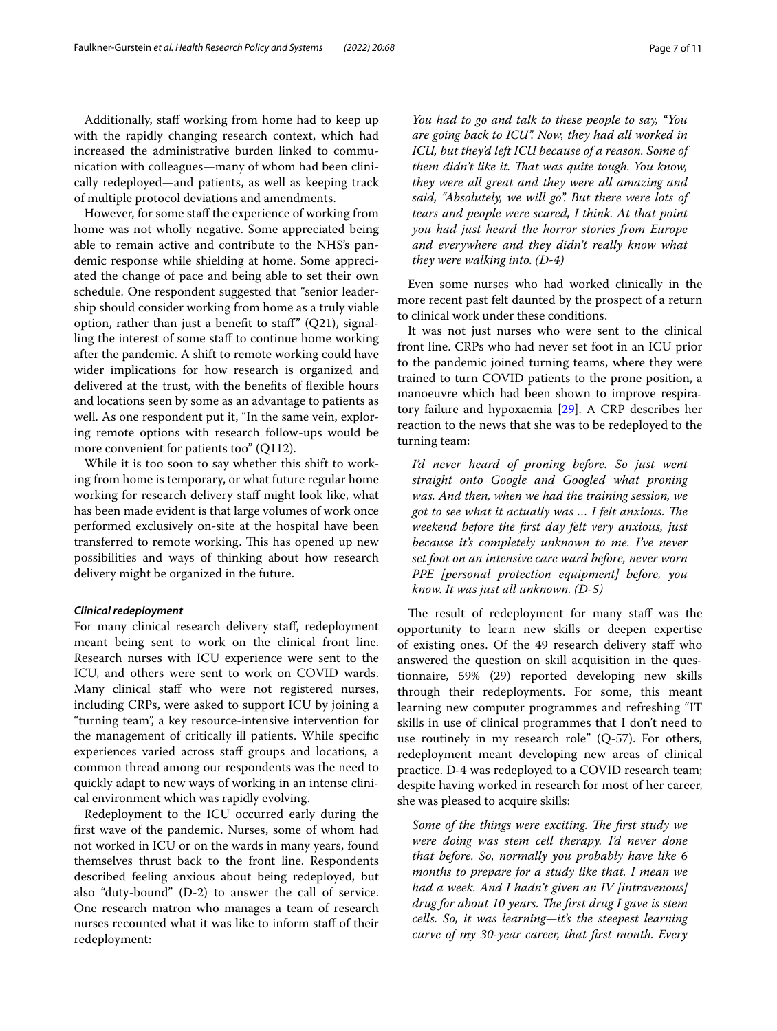Additionally, staff working from home had to keep up with the rapidly changing research context, which had increased the administrative burden linked to communication with colleagues—many of whom had been clinically redeployed—and patients, as well as keeping track of multiple protocol deviations and amendments.

However, for some staff the experience of working from home was not wholly negative. Some appreciated being able to remain active and contribute to the NHS's pandemic response while shielding at home. Some appreciated the change of pace and being able to set their own schedule. One respondent suggested that "senior leadership should consider working from home as a truly viable option, rather than just a benefit to staff"  $(Q21)$ , signalling the interest of some staff to continue home working after the pandemic. A shift to remote working could have wider implications for how research is organized and delivered at the trust, with the benefts of fexible hours and locations seen by some as an advantage to patients as well. As one respondent put it, "In the same vein, exploring remote options with research follow-ups would be more convenient for patients too" (Q112).

While it is too soon to say whether this shift to working from home is temporary, or what future regular home working for research delivery staff might look like, what has been made evident is that large volumes of work once performed exclusively on-site at the hospital have been transferred to remote working. This has opened up new possibilities and ways of thinking about how research delivery might be organized in the future.

# *Clinical redeployment*

For many clinical research delivery staf, redeployment meant being sent to work on the clinical front line. Research nurses with ICU experience were sent to the ICU, and others were sent to work on COVID wards. Many clinical staff who were not registered nurses, including CRPs, were asked to support ICU by joining a "turning team", a key resource-intensive intervention for the management of critically ill patients. While specifc experiences varied across staff groups and locations, a common thread among our respondents was the need to quickly adapt to new ways of working in an intense clinical environment which was rapidly evolving.

Redeployment to the ICU occurred early during the frst wave of the pandemic. Nurses, some of whom had not worked in ICU or on the wards in many years, found themselves thrust back to the front line. Respondents described feeling anxious about being redeployed, but also "duty-bound" (D-2) to answer the call of service. One research matron who manages a team of research nurses recounted what it was like to inform staf of their redeployment:

*You had to go and talk to these people to say, "You are going back to ICU". Now, they had all worked in ICU, but they'd left ICU because of a reason. Some of them didn't like it. Tat was quite tough. You know, they were all great and they were all amazing and said, "Absolutely, we will go". But there were lots of tears and people were scared, I think. At that point you had just heard the horror stories from Europe and everywhere and they didn't really know what they were walking into. (D-4)*

Even some nurses who had worked clinically in the more recent past felt daunted by the prospect of a return to clinical work under these conditions.

It was not just nurses who were sent to the clinical front line. CRPs who had never set foot in an ICU prior to the pandemic joined turning teams, where they were trained to turn COVID patients to the prone position, a manoeuvre which had been shown to improve respiratory failure and hypoxaemia [[29\]](#page-10-22). A CRP describes her reaction to the news that she was to be redeployed to the turning team:

*I'd never heard of proning before. So just went straight onto Google and Googled what proning was. And then, when we had the training session, we*  got to see what it actually was ... I felt anxious. The *weekend before the frst day felt very anxious, just because it's completely unknown to me. I've never set foot on an intensive care ward before, never worn PPE [personal protection equipment] before, you know. It was just all unknown. (D-5)*

The result of redeployment for many staff was the opportunity to learn new skills or deepen expertise of existing ones. Of the 49 research delivery staf who answered the question on skill acquisition in the questionnaire, 59% (29) reported developing new skills through their redeployments. For some, this meant learning new computer programmes and refreshing "IT skills in use of clinical programmes that I don't need to use routinely in my research role" (Q-57). For others, redeployment meant developing new areas of clinical practice. D-4 was redeployed to a COVID research team; despite having worked in research for most of her career, she was pleased to acquire skills:

Some of the things were exciting. The first study we *were doing was stem cell therapy. I'd never done that before. So, normally you probably have like 6 months to prepare for a study like that. I mean we had a week. And I hadn't given an IV [intravenous] drug for about 10 years. The first drug I gave is stem cells. So, it was learning—it's the steepest learning curve of my 30-year career, that frst month. Every*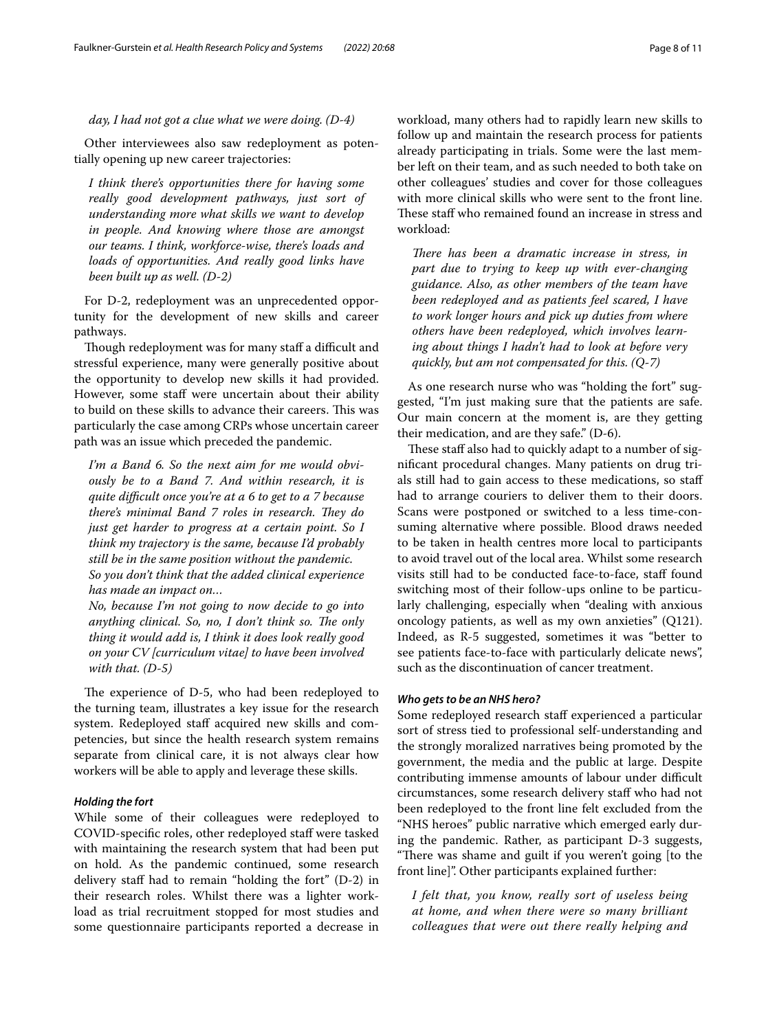*day, I had not got a clue what we were doing. (D-4)*

Other interviewees also saw redeployment as potentially opening up new career trajectories:

*I think there's opportunities there for having some really good development pathways, just sort of understanding more what skills we want to develop in people. And knowing where those are amongst our teams. I think, workforce-wise, there's loads and loads of opportunities. And really good links have been built up as well. (D-2)*

For D-2, redeployment was an unprecedented opportunity for the development of new skills and career pathways.

Though redeployment was for many staff a difficult and stressful experience, many were generally positive about the opportunity to develop new skills it had provided. However, some staff were uncertain about their ability to build on these skills to advance their careers. This was particularly the case among CRPs whose uncertain career path was an issue which preceded the pandemic.

*I'm a Band 6. So the next aim for me would obviously be to a Band 7. And within research, it is quite difcult once you're at a 6 to get to a 7 because*  there's minimal Band 7 roles in research. They do *just get harder to progress at a certain point. So I think my trajectory is the same, because I'd probably still be in the same position without the pandemic. So you don't think that the added clinical experience has made an impact on…*

*No, because I'm not going to now decide to go into*  anything clinical. So, no, I don't think so. The only *thing it would add is, I think it does look really good on your CV [curriculum vitae] to have been involved with that. (D-5)*

The experience of D-5, who had been redeployed to the turning team, illustrates a key issue for the research system. Redeployed staff acquired new skills and competencies, but since the health research system remains separate from clinical care, it is not always clear how workers will be able to apply and leverage these skills.

# *Holding the fort*

While some of their colleagues were redeployed to COVID-specifc roles, other redeployed staf were tasked with maintaining the research system that had been put on hold. As the pandemic continued, some research delivery staff had to remain "holding the fort" (D-2) in their research roles. Whilst there was a lighter workload as trial recruitment stopped for most studies and some questionnaire participants reported a decrease in workload, many others had to rapidly learn new skills to follow up and maintain the research process for patients already participating in trials. Some were the last member left on their team, and as such needed to both take on other colleagues' studies and cover for those colleagues with more clinical skills who were sent to the front line. These staff who remained found an increase in stress and workload:

*There has been a dramatic increase in stress, in part due to trying to keep up with ever-changing guidance. Also, as other members of the team have been redeployed and as patients feel scared, I have to work longer hours and pick up duties from where others have been redeployed, which involves learning about things I hadn't had to look at before very quickly, but am not compensated for this. (Q-7)*

As one research nurse who was "holding the fort" suggested, "I'm just making sure that the patients are safe. Our main concern at the moment is, are they getting their medication, and are they safe." (D-6).

These staff also had to quickly adapt to a number of signifcant procedural changes. Many patients on drug trials still had to gain access to these medications, so staf had to arrange couriers to deliver them to their doors. Scans were postponed or switched to a less time-consuming alternative where possible. Blood draws needed to be taken in health centres more local to participants to avoid travel out of the local area. Whilst some research visits still had to be conducted face-to-face, staff found switching most of their follow-ups online to be particularly challenging, especially when "dealing with anxious oncology patients, as well as my own anxieties" (Q121). Indeed, as R-5 suggested, sometimes it was "better to see patients face-to-face with particularly delicate news", such as the discontinuation of cancer treatment.

# *Who gets to be an NHS hero?*

Some redeployed research staff experienced a particular sort of stress tied to professional self-understanding and the strongly moralized narratives being promoted by the government, the media and the public at large. Despite contributing immense amounts of labour under difficult circumstances, some research delivery staf who had not been redeployed to the front line felt excluded from the "NHS heroes" public narrative which emerged early during the pandemic. Rather, as participant D-3 suggests, "There was shame and guilt if you weren't going [to the front line]". Other participants explained further:

*I felt that, you know, really sort of useless being at home, and when there were so many brilliant colleagues that were out there really helping and*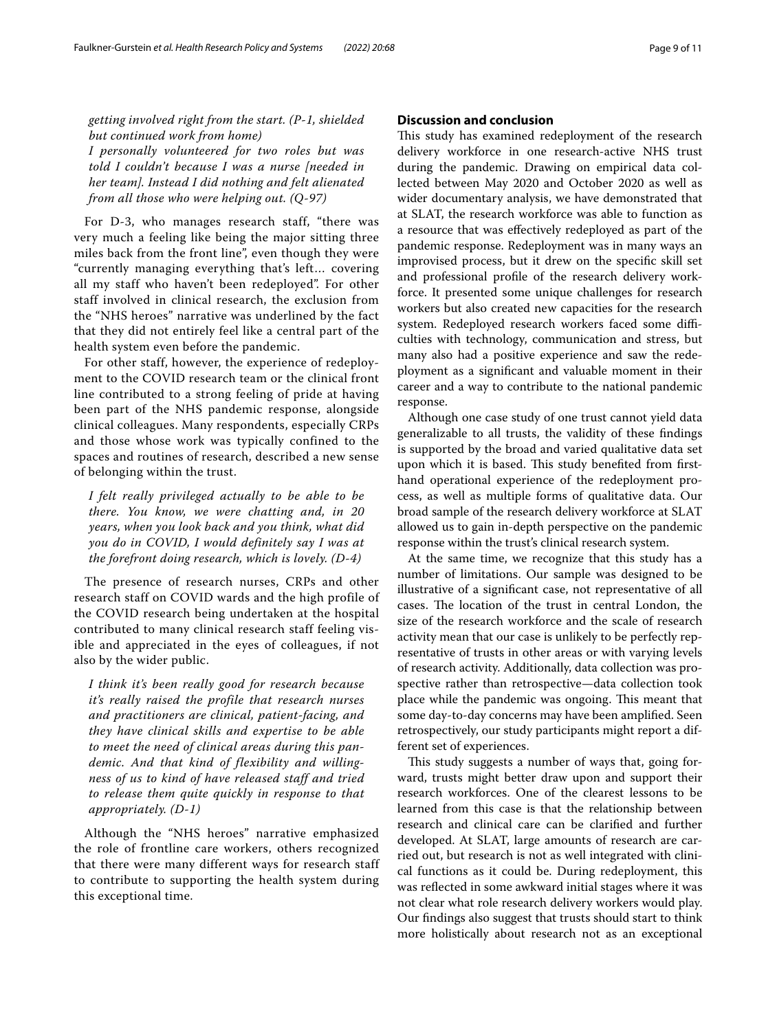*getting involved right from the start. (P-1, shielded but continued work from home) I personally volunteered for two roles but was told I couldn't because I was a nurse [needed in her team]. Instead I did nothing and felt alienated from all those who were helping out. (Q-97)*

For D-3, who manages research staff, "there was very much a feeling like being the major sitting three miles back from the front line", even though they were "currently managing everything that's left… covering all my staff who haven't been redeployed". For other staff involved in clinical research, the exclusion from the "NHS heroes" narrative was underlined by the fact that they did not entirely feel like a central part of the health system even before the pandemic.

For other staff, however, the experience of redeployment to the COVID research team or the clinical front line contributed to a strong feeling of pride at having been part of the NHS pandemic response, alongside clinical colleagues. Many respondents, especially CRPs and those whose work was typically confined to the spaces and routines of research, described a new sense of belonging within the trust.

*I felt really privileged actually to be able to be there. You know, we were chatting and, in 20 years, when you look back and you think, what did you do in COVID, I would definitely say I was at the forefront doing research, which is lovely. (D-4)*

The presence of research nurses, CRPs and other research staff on COVID wards and the high profile of the COVID research being undertaken at the hospital contributed to many clinical research staff feeling visible and appreciated in the eyes of colleagues, if not also by the wider public.

*I think it's been really good for research because it's really raised the profile that research nurses and practitioners are clinical, patient-facing, and they have clinical skills and expertise to be able to meet the need of clinical areas during this pandemic. And that kind of flexibility and willingness of us to kind of have released staff and tried to release them quite quickly in response to that appropriately. (D-1)*

Although the "NHS heroes" narrative emphasized the role of frontline care workers, others recognized that there were many different ways for research staff to contribute to supporting the health system during this exceptional time.

# **Discussion and conclusion**

This study has examined redeployment of the research delivery workforce in one research-active NHS trust during the pandemic. Drawing on empirical data collected between May 2020 and October 2020 as well as wider documentary analysis, we have demonstrated that at SLAT, the research workforce was able to function as a resource that was efectively redeployed as part of the pandemic response. Redeployment was in many ways an improvised process, but it drew on the specifc skill set and professional profle of the research delivery workforce. It presented some unique challenges for research workers but also created new capacities for the research system. Redeployed research workers faced some difficulties with technology, communication and stress, but many also had a positive experience and saw the redeployment as a signifcant and valuable moment in their career and a way to contribute to the national pandemic response.

Although one case study of one trust cannot yield data generalizable to all trusts, the validity of these fndings is supported by the broad and varied qualitative data set upon which it is based. This study benefited from firsthand operational experience of the redeployment process, as well as multiple forms of qualitative data. Our broad sample of the research delivery workforce at SLAT allowed us to gain in-depth perspective on the pandemic response within the trust's clinical research system.

At the same time, we recognize that this study has a number of limitations. Our sample was designed to be illustrative of a signifcant case, not representative of all cases. The location of the trust in central London, the size of the research workforce and the scale of research activity mean that our case is unlikely to be perfectly representative of trusts in other areas or with varying levels of research activity. Additionally, data collection was prospective rather than retrospective—data collection took place while the pandemic was ongoing. This meant that some day-to-day concerns may have been amplifed. Seen retrospectively, our study participants might report a different set of experiences.

This study suggests a number of ways that, going forward, trusts might better draw upon and support their research workforces. One of the clearest lessons to be learned from this case is that the relationship between research and clinical care can be clarifed and further developed. At SLAT, large amounts of research are carried out, but research is not as well integrated with clinical functions as it could be. During redeployment, this was refected in some awkward initial stages where it was not clear what role research delivery workers would play. Our fndings also suggest that trusts should start to think more holistically about research not as an exceptional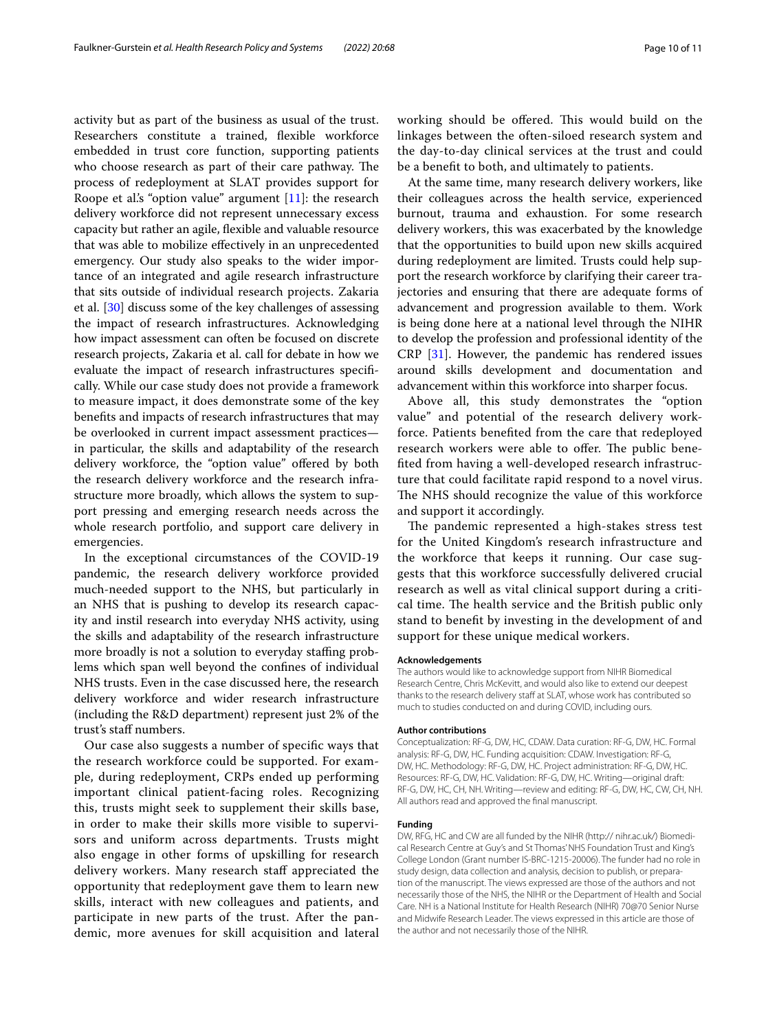activity but as part of the business as usual of the trust. Researchers constitute a trained, flexible workforce embedded in trust core function, supporting patients who choose research as part of their care pathway. The process of redeployment at SLAT provides support for Roope et al's "option value" argument  $[11]$ : the research delivery workforce did not represent unnecessary excess capacity but rather an agile, fexible and valuable resource that was able to mobilize efectively in an unprecedented emergency. Our study also speaks to the wider importance of an integrated and agile research infrastructure that sits outside of individual research projects. Zakaria et al. [\[30](#page-10-23)] discuss some of the key challenges of assessing the impact of research infrastructures. Acknowledging how impact assessment can often be focused on discrete research projects, Zakaria et al. call for debate in how we evaluate the impact of research infrastructures specifcally. While our case study does not provide a framework to measure impact, it does demonstrate some of the key benefts and impacts of research infrastructures that may be overlooked in current impact assessment practices in particular, the skills and adaptability of the research delivery workforce, the "option value" ofered by both the research delivery workforce and the research infrastructure more broadly, which allows the system to support pressing and emerging research needs across the whole research portfolio, and support care delivery in emergencies.

In the exceptional circumstances of the COVID-19 pandemic, the research delivery workforce provided much-needed support to the NHS, but particularly in an NHS that is pushing to develop its research capacity and instil research into everyday NHS activity, using the skills and adaptability of the research infrastructure more broadly is not a solution to everyday staffing problems which span well beyond the confnes of individual NHS trusts. Even in the case discussed here, the research delivery workforce and wider research infrastructure (including the R&D department) represent just 2% of the trust's staf numbers.

Our case also suggests a number of specifc ways that the research workforce could be supported. For example, during redeployment, CRPs ended up performing important clinical patient-facing roles. Recognizing this, trusts might seek to supplement their skills base, in order to make their skills more visible to supervisors and uniform across departments. Trusts might also engage in other forms of upskilling for research delivery workers. Many research staf appreciated the opportunity that redeployment gave them to learn new skills, interact with new colleagues and patients, and participate in new parts of the trust. After the pandemic, more avenues for skill acquisition and lateral working should be offered. This would build on the linkages between the often-siloed research system and the day-to-day clinical services at the trust and could be a beneft to both, and ultimately to patients.

At the same time, many research delivery workers, like their colleagues across the health service, experienced burnout, trauma and exhaustion. For some research delivery workers, this was exacerbated by the knowledge that the opportunities to build upon new skills acquired during redeployment are limited. Trusts could help support the research workforce by clarifying their career trajectories and ensuring that there are adequate forms of advancement and progression available to them. Work is being done here at a national level through the NIHR to develop the profession and professional identity of the CRP [[31\]](#page-10-24). However, the pandemic has rendered issues around skills development and documentation and advancement within this workforce into sharper focus.

Above all, this study demonstrates the "option value" and potential of the research delivery workforce. Patients benefted from the care that redeployed research workers were able to offer. The public benefted from having a well-developed research infrastructure that could facilitate rapid respond to a novel virus. The NHS should recognize the value of this workforce and support it accordingly.

The pandemic represented a high-stakes stress test for the United Kingdom's research infrastructure and the workforce that keeps it running. Our case suggests that this workforce successfully delivered crucial research as well as vital clinical support during a critical time. The health service and the British public only stand to beneft by investing in the development of and support for these unique medical workers.

### **Acknowledgements**

The authors would like to acknowledge support from NIHR Biomedical Research Centre, Chris McKevitt, and would also like to extend our deepest thanks to the research delivery staff at SLAT, whose work has contributed so much to studies conducted on and during COVID, including ours.

#### **Author contributions**

Conceptualization: RF-G, DW, HC, CDAW. Data curation: RF-G, DW, HC. Formal analysis: RF-G, DW, HC. Funding acquisition: CDAW. Investigation: RF-G, DW, HC. Methodology: RF-G, DW, HC. Project administration: RF-G, DW, HC. Resources: RF-G, DW, HC. Validation: RF-G, DW, HC. Writing—original draft: RF-G, DW, HC, CH, NH. Writing—review and editing: RF-G, DW, HC, CW, CH, NH. All authors read and approved the fnal manuscript.

#### **Funding**

DW, RFG, HC and CW are all funded by the NIHR (http:// nihr.ac.uk/) Biomedical Research Centre at Guy's and St Thomas' NHS Foundation Trust and King's College London (Grant number IS-BRC-1215-20006). The funder had no role in study design, data collection and analysis, decision to publish, or preparation of the manuscript. The views expressed are those of the authors and not necessarily those of the NHS, the NIHR or the Department of Health and Social Care. NH is a National Institute for Health Research (NIHR) 70@70 Senior Nurse and Midwife Research Leader. The views expressed in this article are those of the author and not necessarily those of the NIHR.